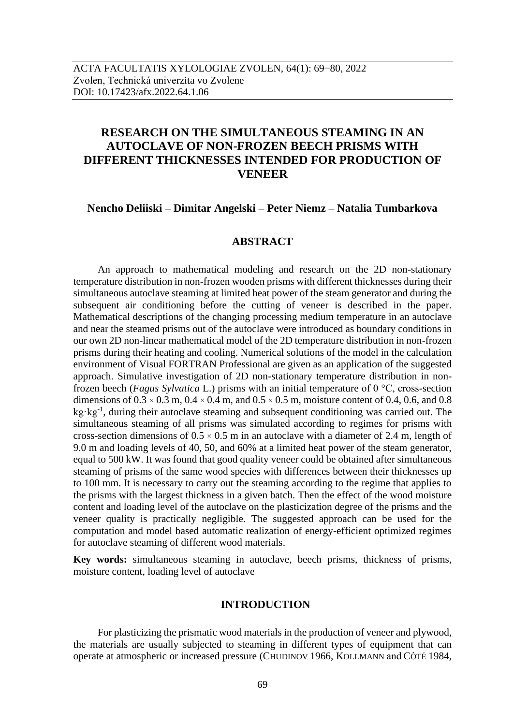# **RESEARCH ON THE SIMULTANEOUS STEAMING IN AN AUTOCLAVE OF NON-FROZEN BEECH PRISMS WITH DIFFERENT THICKNESSES INTENDED FOR PRODUCTION OF VENEER**

#### **Nencho Deliiski – Dimitar Angelski – Peter Niemz – Natalia Tumbarkova**

# **ABSTRACT**

An approach to mathematical modeling and research on the 2D non-stationary temperature distribution in non-frozen wooden prisms with different thicknesses during their simultaneous autoclave steaming at limited heat power of the steam generator and during the subsequent air conditioning before the cutting of veneer is described in the paper. Mathematical descriptions of the changing processing medium temperature in an autoclave and near the steamed prisms out of the autoclave were introduced as boundary conditions in our own 2D non-linear mathematical model of the 2D temperature distribution in non-frozen prisms during their heating and cooling. Numerical solutions of the model in the calculation environment of Visual FORTRAN Professional are given as an application of the suggested approach. Simulative investigation of 2D non-stationary temperature distribution in nonfrozen beech (*Fagus Sylvatica* L.) prisms with an initial temperature of 0 °C, cross-section dimensions of  $0.3 \times 0.3$  m,  $0.4 \times 0.4$  m, and  $0.5 \times 0.5$  m, moisture content of 0.4, 0.6, and 0.8 kg·kg<sup>-1</sup>, during their autoclave steaming and subsequent conditioning was carried out. The simultaneous steaming of all prisms was simulated according to regimes for prisms with cross-section dimensions of  $0.5 \times 0.5$  m in an autoclave with a diameter of 2.4 m, length of 9.0 m and loading levels of 40, 50, and 60% at a limited heat power of the steam generator, equal to 500 kW. It was found that good quality veneer could be obtained after simultaneous steaming of prisms of the same wood species with differences between their thicknesses up to 100 mm. It is necessary to carry out the steaming according to the regime that applies to the prisms with the largest thickness in a given batch. Then the effect of the wood moisture content and loading level of the autoclave on the plasticization degree of the prisms and the veneer quality is practically negligible. The suggested approach can be used for the computation and model based automatic realization of energy-efficient optimized regimes for autoclave steaming of different wood materials.

**Key words:** simultaneous steaming in autoclave, beech prisms, thickness of prisms, moisture content, loading level of autoclave

#### **INTRODUCTION**

For plasticizing the prismatic wood materials in the production of veneer and plywood, the materials are usually subjected to steaming in different types of equipment that can operate at atmospheric or increased pressure (CHUDINOV 1966, KOLLMANN and CÔTÉ 1984,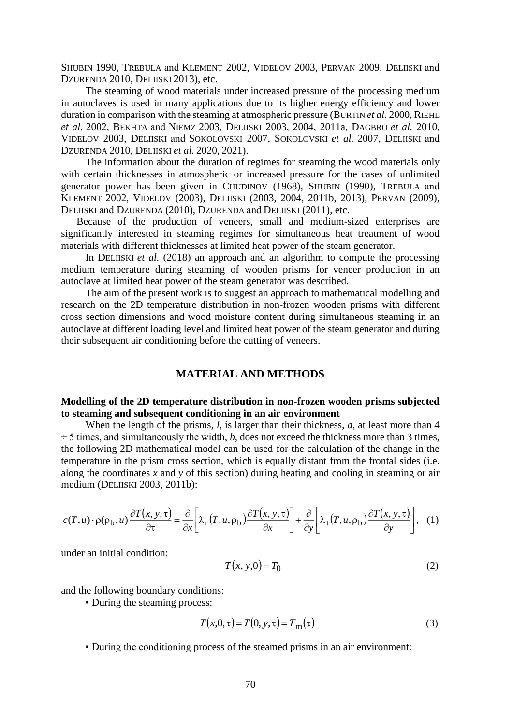SHUBIN 1990, TREBULA and KLEMENT 2002, VIDELOV 2003, PERVAN 2009, DELIISKI and DZURENDA 2010, DELIISKI 2013), etc.

The steaming of wood materials under increased pressure of the processing medium in autoclaves is used in many applications due to its higher energy efficiency and lower duration in comparison with the steaming at atmospheric pressure (BURTIN *et al.* 2000, RIEHL *et al.* 2002, BEKHTA and NIEMZ 2003, DELIISKI 2003, 2004, 2011a, DAGBRO *et al.* 2010, VIDELOV 2003, DELIISKI and SOKOLOVSKI 2007, SOKOLOVSKI *et al.* 2007, DELIISKI and DZURENDA 2010, DELIISKI *et al.* 2020, 2021).

The information about the duration of regimes for steaming the wood materials only with certain thicknesses in atmospheric or increased pressure for the cases of unlimited generator power has been given in CHUDINOV (1968), SHUBIN (1990), TREBULA and KLEMENT 2002, VIDELOV (2003), DELIISKI (2003, 2004, 2011b, 2013), PERVAN (2009), DELIISKI and DZURENDA (2010), DZURENDA and DELIISKI (2011), etc.

Because of the production of veneers, small and medium-sized enterprises are significantly interested in steaming regimes for simultaneous heat treatment of wood materials with different thicknesses at limited heat power of the steam generator.

In DELIISKI *et al.* (2018) an approach and an algorithm to compute the processing medium temperature during steaming of wooden prisms for veneer production in an autoclave at limited heat power of the steam generator was described.

The aim of the present work is to suggest an approach to mathematical modelling and research on the 2D temperature distribution in non-frozen wooden prisms with different cross section dimensions and wood moisture content during simultaneous steaming in an autoclave at different loading level and limited heat power of the steam generator and during their subsequent air conditioning before the cutting of veneers.

# **MATERIAL AND METHODS**

# **Modelling of the 2D temperature distribution in non-frozen wooden prisms subjected to steaming and subsequent conditioning in an air environment**

When the length of the prisms, *l*, is larger than their thickness, *d*, at least more than 4  $\div$  5 times, and simultaneously the width, *b*, does not exceed the thickness more than 3 times, the following 2D mathematical model can be used for the calculation of the change in the temperature in the prism cross section, which is equally distant from the frontal sides (i.e. along the coordinates *x* and *y* of this section) during heating and cooling in steaming or air medium (DELIISKI 2003, 2011b):

$$
c(T, u) \cdot \rho(\rho_b, u) \frac{\partial T(x, y, \tau)}{\partial \tau} = \frac{\partial}{\partial x} \left[ \lambda_r(T, u, \rho_b) \frac{\partial T(x, y, \tau)}{\partial x} \right] + \frac{\partial}{\partial y} \left[ \lambda_t(T, u, \rho_b) \frac{\partial T(x, y, \tau)}{\partial y} \right], \quad (1)
$$

under an initial condition:

$$
T(x, y, 0) = T_0 \tag{2}
$$

and the following boundary conditions:

▪ During the steaming process:

$$
T(x,0,\tau) = T(0, y,\tau) = Tm(\tau)
$$
\n(3)

▪ During the conditioning process of the steamed prisms in an air environment: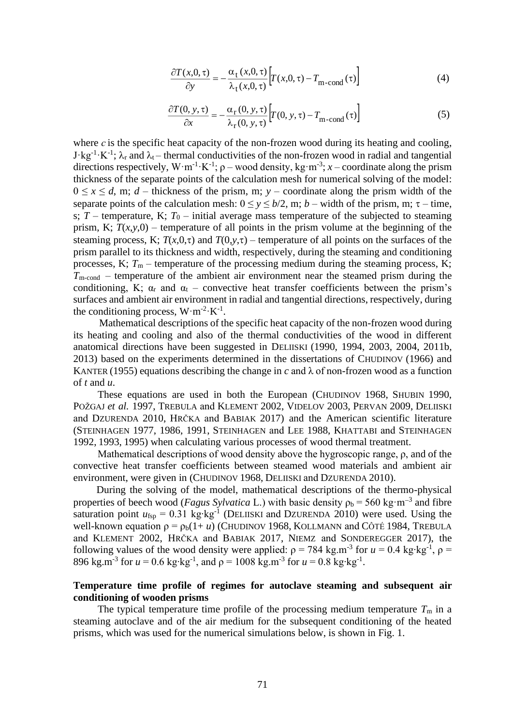$$
\frac{\partial T(x,0,\tau)}{\partial y} = -\frac{\alpha_t(x,0,\tau)}{\lambda_t(x,0,\tau)} \Big[ T(x,0,\tau) - T_{\text{m-cond}}(\tau) \Big]
$$
(4)

$$
\frac{\partial T(0, y, \tau)}{\partial x} = -\frac{\alpha_{\text{r}}(0, y, \tau)}{\lambda_{\text{r}}(0, y, \tau)} \Big[ T(0, y, \tau) - T_{\text{m-cond}}(\tau) \Big]
$$
(5)

where  $c$  is the specific heat capacity of the non-frozen wood during its heating and cooling,  $J \cdot kg^{-1} \cdot K^{-1}$ ;  $\lambda_r$  and  $\lambda_t$  – thermal conductivities of the non-frozen wood in radial and tangential directions respectively,  $W \cdot m^{-1} \cdot K^{-1}$ ;  $\rho$  – wood density, kg $\cdot m^{-3}$ ;  $x$  – coordinate along the prism thickness of the separate points of the calculation mesh for numerical solving of the model:  $0 \le x \le d$ , m; *d* – thickness of the prism, m; *y* – coordinate along the prism width of the separate points of the calculation mesh:  $0 \le y \le b/2$ , m; *b* – width of the prism, m;  $\tau$  – time, s;  $T$  – temperature, K;  $T_0$  – initial average mass temperature of the subjected to steaming prism, K;  $T(x, y, 0)$  – temperature of all points in the prism volume at the beginning of the steaming process, K;  $T(x,0,\tau)$  and  $T(0,y,\tau)$  – temperature of all points on the surfaces of the prism parallel to its thickness and width, respectively, during the steaming and conditioning processes, K;  $T_m$  – temperature of the processing medium during the steaming process, K; *T*m-cond – temperature of the ambient air environment near the steamed prism during the conditioning, K;  $\alpha_r$  and  $\alpha_t$  – convective heat transfer coefficients between the prism's surfaces and ambient air environment in radial and tangential directions, respectively, during the conditioning process,  $W \cdot m^{-2} \cdot K^{-1}$ .

Mathematical descriptions of the specific heat capacity of the non-frozen wood during its heating and cooling and also of the thermal conductivities of the wood in different anatomical directions have been suggested in DELIISKI (1990, 1994, 2003, 2004, 2011b, 2013) based on the experiments determined in the dissertations of CHUDINOV (1966) and KANTER (1955) equations describing the change in  $c$  and  $\lambda$  of non-frozen wood as a function of *t* and *u*.

These equations are used in both the European (CHUDINOV 1968, SHUBIN 1990, POŽGAJ et al. 1997, TREBULA and KLEMENT 2002, VIDELOV 2003, PERVAN 2009, DELIISKI and DZURENDA 2010, HRČKA and BABIAK 2017) and the American scientific literature (STEINHAGEN 1977, 1986, 1991, STEINHAGEN and LEE 1988, KHATTABI and STEINHAGEN 1992, 1993, 1995) when calculating various processes of wood thermal treatment.

Mathematical descriptions of wood density above the hygroscopic range, ρ, and of the convective heat transfer coefficients between steamed wood materials and ambient air environment, were given in (CHUDINOV 1968, DELIISKI and DZURENDA 2010).

During the solving of the model, mathematical descriptions of the thermo-physical properties of beech wood (*Fagus Sylvatica* L.) with basic density  $\rho_b = 560 \text{ kg} \cdot \text{m}^{-3}$  and fibre saturation point  $u_{\text{fsp}} = 0.31 \text{ kg/kg}^{-1}$  (DELIISKI and DZURENDA 2010) were used. Using the well-known equation  $\rho = \rho_b(1 + u)$  (CHUDINOV 1968, KOLLMANN and CÔTÉ 1984, TREBULA and KLEMENT 2002, HRČKA and BABIAK 2017, NIEMZ and SONDEREGGER 2017), the following values of the wood density were applied:  $\rho = 784 \text{ kg} \cdot \text{m}^{-3}$  for  $u = 0.4 \text{ kg} \cdot \text{kg}^{-1}$ ,  $\rho =$ 896 kg.m<sup>-3</sup> for  $u = 0.6$  kg⋅kg<sup>-1</sup>, and  $\rho = 1008$  kg.m<sup>-3</sup> for  $u = 0.8$  kg⋅kg<sup>-1</sup>.

# **Temperature time profile of regimes for autoclave steaming and subsequent air conditioning of wooden prisms**

The typical temperature time profile of the processing medium temperature  $T<sub>m</sub>$  in a steaming autoclave and of the air medium for the subsequent conditioning of the heated prisms, which was used for the numerical simulations below, is shown in Fig. 1.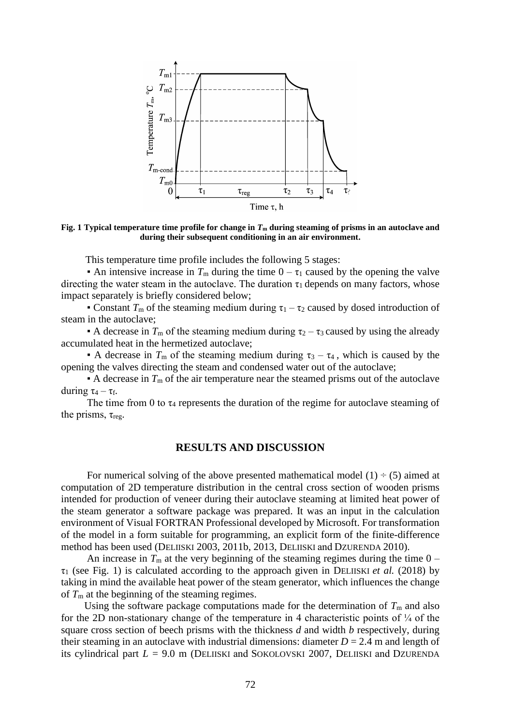

**Fig. 1 Typical temperature time profile for change in** *T***<sup>m</sup> during steaming of prisms in an autoclave and during their subsequent conditioning in an air environment.**

This temperature time profile includes the following 5 stages:

**•** An intensive increase in  $T_m$  during the time  $0 - \tau_1$  caused by the opening the valve directing the water steam in the autoclave. The duration  $\tau_1$  depends on many factors, whose impact separately is briefly considered below;

**• Constant**  $T_m$  of the steaming medium during  $\tau_1 - \tau_2$  caused by dosed introduction of steam in the autoclave;

**•** A decrease in  $T_m$  of the steaming medium during  $\tau_2 - \tau_3$  caused by using the already accumulated heat in the hermetized autoclave;

**•** A decrease in  $T_m$  of the steaming medium during  $\tau_3 - \tau_4$ , which is caused by the opening the valves directing the steam and condensed water out of the autoclave;

 $\bullet$  A decrease in  $T_m$  of the air temperature near the steamed prisms out of the autoclave during  $\tau_4 - \tau_f$ .

The time from 0 to  $\tau_4$  represents the duration of the regime for autoclave steaming of the prisms,  $\tau_{reg}$ .

## **RESULTS AND DISCUSSION**

For numerical solving of the above presented mathematical model  $(1) \div (5)$  aimed at computation of 2D temperature distribution in the central cross section of wooden prisms intended for production of veneer during their autoclave steaming at limited heat power of the steam generator a software package was prepared. It was an input in the calculation environment of Visual FORTRAN Professional developed by Microsoft. For transformation of the model in a form suitable for programming, an explicit form of the finite-difference method has been used (DELIISKI 2003, 2011b, 2013, DELIISKI and DZURENDA 2010).

An increase in  $T_m$  at the very beginning of the steaming regimes during the time  $0 \tau_1$  (see Fig. 1) is calculated according to the approach given in DELIISKI *et al.* (2018) by taking in mind the available heat power of the steam generator, which influences the change of  $T<sub>m</sub>$  at the beginning of the steaming regimes.

Using the software package computations made for the determination of  $T<sub>m</sub>$  and also for the 2D non-stationary change of the temperature in 4 characteristic points of  $\frac{1}{4}$  of the square cross section of beech prisms with the thickness *d* and width *b* respectively, during their steaming in an autoclave with industrial dimensions: diameter  $D = 2.4$  m and length of its cylindrical part  $L = 9.0$  m (DELIISKI and SOKOLOVSKI 2007, DELIISKI and DZURENDA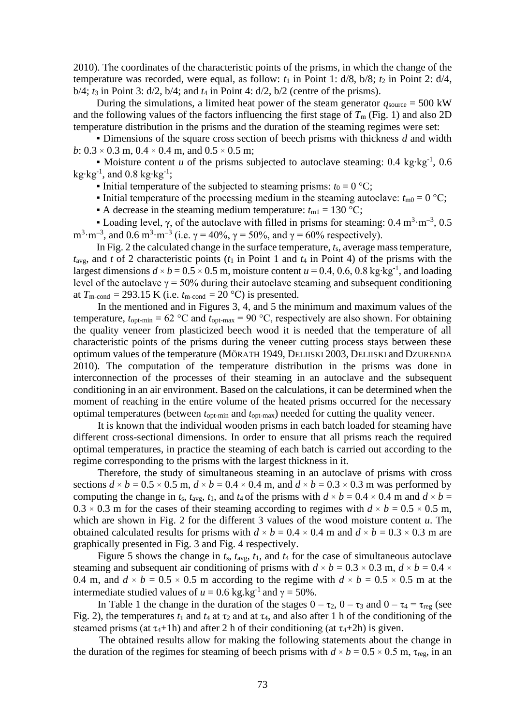2010). The coordinates of the characteristic points of the prisms, in which the change of the temperature was recorded, were equal, as follow:  $t_1$  in Point 1:  $d/8$ ,  $b/8$ ;  $t_2$  in Point 2:  $d/4$ , b/4; *t*<sup>3</sup> in Point 3: d/2, b/4; and *t*<sup>4</sup> in Point 4: d/2, b/2 (centre of the prisms).

During the simulations, a limited heat power of the steam generator  $q_{\text{source}} = 500 \text{ kW}$ and the following values of the factors influencing the first stage of  $T<sub>m</sub>$  (Fig. 1) and also 2D temperature distribution in the prisms and the duration of the steaming regimes were set:

▪ Dimensions of the square cross section of beech prisms with thickness *d* and width *b*:  $0.3 \times 0.3$  m,  $0.4 \times 0.4$  m, and  $0.5 \times 0.5$  m;

**■ Moisture content** *u* of the prisms subjected to autoclave steaming:  $0.4 \text{ kg} \cdot \text{kg}^{-1}$ ,  $0.6$ kg∙kg $^{-1}$ , and  $0.8$  kg∙kg $^{-1}$ ;

Initial temperature of the subjected to steaming prisms:  $t_0 = 0$  °C;

Initial temperature of the processing medium in the steaming autoclave:  $t_{\text{m0}} = 0$  °C;

• A decrease in the steaming medium temperature:  $t_{m1} = 130$  °C;

• Loading level, γ, of the autoclave with filled in prisms for steaming:  $0.4 \text{ m}^3 \cdot \text{m}^{-3}$ ,  $0.5 \text{ m}$ m<sup>3</sup>·m<sup>-3</sup>, and 0.6 m<sup>3</sup>·m<sup>-3</sup> (i.e. γ = 40%, γ = 50%, and γ = 60% respectively).

In Fig. 2 the calculated change in the surface temperature, *t*s, average mass temperature,  $t_{avg}$ , and *t* of 2 characteristic points ( $t_1$  in Point 1 and  $t_4$  in Point 4) of the prisms with the largest dimensions  $d \times b = 0.5 \times 0.5$  m, moisture content  $u = 0.4, 0.6, 0.8$  kg⋅kg<sup>-1</sup>, and loading level of the autoclave  $\gamma = 50\%$  during their autoclave steaming and subsequent conditioning at  $T_{\text{m-cond}} = 293.15 \text{ K}$  (i.e.  $t_{\text{m-cond}} = 20 \text{ °C}$ ) is presented.

In the mentioned and in Figures 3, 4, and 5 the minimum and maximum values of the temperature,  $t_{\text{opt-min}} = 62 \text{ °C}$  and  $t_{\text{opt-max}} = 90 \text{ °C}$ , respectively are also shown. For obtaining the quality veneer from plasticized beech wood it is needed that the temperature of all characteristic points of the prisms during the veneer cutting process stays between these optimum values of the temperature (MÖRATH 1949, DELIISKI 2003, DELIISKI and DZURENDA 2010). The computation of the temperature distribution in the prisms was done in interconnection of the processes of their steaming in an autoclave and the subsequent conditioning in an air environment. Based on the calculations, it can be determined when the moment of reaching in the entire volume of the heated prisms occurred for the necessary optimal temperatures (between *t*opt-min and *t*opt-max) needed for cutting the quality veneer.

It is known that the individual wooden prisms in each batch loaded for steaming have different cross-sectional dimensions. In order to ensure that all prisms reach the required optimal temperatures, in practice the steaming of each batch is carried out according to the regime corresponding to the prisms with the largest thickness in it.

Therefore, the study of simultaneous steaming in an autoclave of prisms with cross sections  $d \times b = 0.5 \times 0.5$  m,  $d \times b = 0.4 \times 0.4$  m, and  $d \times b = 0.3 \times 0.3$  m was performed by computing the change in  $t_s$ ,  $t_{avg}$ ,  $t_1$ , and  $t_4$  of the prisms with  $d \times b = 0.4 \times 0.4$  m and  $d \times b =$  $0.3 \times 0.3$  m for the cases of their steaming according to regimes with  $d \times b = 0.5 \times 0.5$  m, which are shown in Fig. 2 for the different 3 values of the wood moisture content *u*. The obtained calculated results for prisms with  $d \times b = 0.4 \times 0.4$  m and  $d \times b = 0.3 \times 0.3$  m are graphically presented in Fig. 3 and Fig. 4 respectively.

Figure 5 shows the change in *t*s, *t*avg, *t*1, and *t*<sup>4</sup> for the case of simultaneous autoclave steaming and subsequent air conditioning of prisms with  $d \times b = 0.3 \times 0.3$  m,  $d \times b = 0.4 \times 10^{-10}$ 0.4 m, and  $d \times b = 0.5 \times 0.5$  m according to the regime with  $d \times b = 0.5 \times 0.5$  m at the intermediate studied values of  $u = 0.6$  kg.kg<sup>-1</sup> and  $\gamma = 50\%$ .

In Table 1 the change in the duration of the stages  $0 - \tau_2$ ,  $0 - \tau_3$  and  $0 - \tau_4 = \tau_{reg}$  (see Fig. 2), the temperatures  $t_1$  and  $t_4$  at  $\tau_2$  and at  $\tau_4$ , and also after 1 h of the conditioning of the steamed prisms (at  $\tau_4$ +1h) and after 2 h of their conditioning (at  $\tau_4$ +2h) is given.

The obtained results allow for making the following statements about the change in the duration of the regimes for steaming of beech prisms with  $d \times b = 0.5 \times 0.5$  m,  $\tau_{reg}$ , in an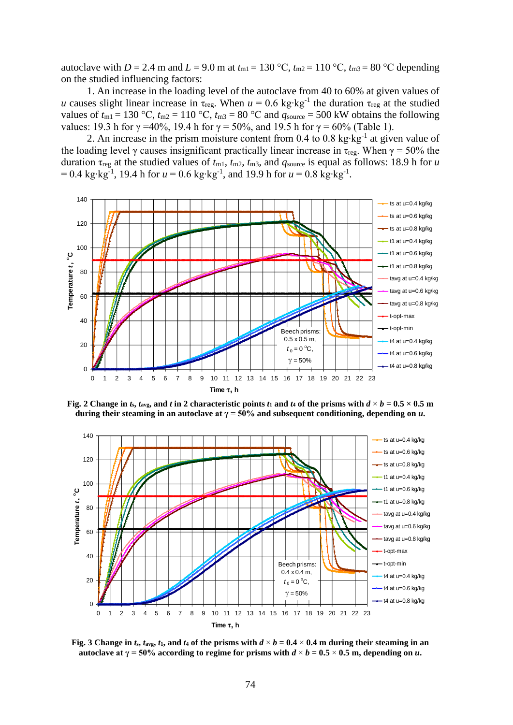autoclave with *D* = 2.4 m and *L* = 9.0 m at  $t_{m1}$  = 130 °C,  $t_{m2}$  = 110 °C,  $t_{m3}$  = 80 °C depending on the studied influencing factors:

1. An increase in the loading level of the autoclave from 40 to 60% at given values of *u* causes slight linear increase in  $\tau_{reg}$ . When  $u = 0.6$  kg⋅kg<sup>-1</sup> the duration  $\tau_{reg}$  at the studied values of  $t_{m1} = 130$  °C,  $t_{m2} = 110$  °C,  $t_{m3} = 80$  °C and  $q_{source} = 500$  kW obtains the following values: 19.3 h for γ = 40%, 19.4 h for γ = 50%, and 19.5 h for γ = 60% (Table 1).

2. An increase in the prism moisture content from 0.4 to 0.8 kg⋅kg<sup>-1</sup> at given value of the loading level  $\gamma$  causes insignificant practically linear increase in  $\tau_{reg}$ . When  $\gamma = 50\%$  the duration  $\tau_{reg}$  at the studied values of  $t_{m1}$ ,  $t_{m2}$ ,  $t_{m3}$ , and  $q_{source}$  is equal as follows: 18.9 h for *u* = 0.4 kg∙kg-1 , 19.4 h for *u* = 0.6 kg∙kg-1 , and 19.9 h for *u* = 0.8 kg∙kg-1 .



Fig. 2 Change in  $t_s$ ,  $t_{\text{avg}}$ , and t in 2 characteristic points  $t_1$  and  $t_4$  of the prisms with  $d \times b = 0.5 \times 0.5$  m **during their steaming in an autoclave at**  $\gamma = 50\%$  **and subsequent conditioning, depending on** *u***.** 



Fig. 3 Change in  $t_s$ ,  $t_{\text{avg}}$ ,  $t_1$ , and  $t_4$  of the prisms with  $d \times b = 0.4 \times 0.4$  m during their steaming in an **autoclave at**  $\gamma = 50\%$  **according to regime for prisms with**  $d \times b = 0.5 \times 0.5$  **m, depending on** *u***.**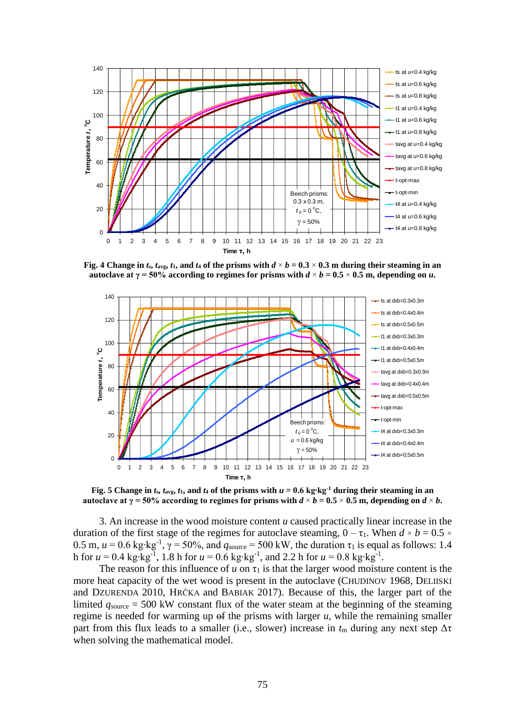

Fig. 4 Change in  $t_s$ ,  $t_{\text{avg}}$ ,  $t_1$ , and  $t_4$  of the prisms with  $d \times b = 0.3 \times 0.3$  m during their steaming in an **autoclave at**  $\gamma = 50\%$  **according to regimes for prisms with**  $d \times b = 0.5 \times 0.5$  **m, depending on** *u***.** 



Fig. 5 Change in  $t_s$ ,  $t_{\text{avg}}$ ,  $t_1$ , and  $t_4$  of the prisms with  $u = 0.6$  kg·kg<sup>-1</sup> during their steaming in an **autoclave at**  $\gamma = 50\%$  **according to regimes for prisms with**  $d \times b = 0.5 \times 0.5$  **m, depending on**  $d \times b$ **.** 

3. An increase in the wood moisture content *u* caused practically linear increase in the duration of the first stage of the regimes for autoclave steaming,  $0 - \tau_1$ . When  $d \times b = 0.5 \times$ 0.5 m,  $u = 0.6$  kg⋅kg<sup>-1</sup>,  $\gamma = 50\%$ , and  $q_{source} = 500$  kW, the duration  $\tau_1$  is equal as follows: 1.4 h for *u* = 0.4 kg⋅kg<sup>-1</sup>, 1.8 h for *u* = 0.6 kg⋅kg<sup>-1</sup>, and 2.2 h for *u* = 0.8 kg⋅kg<sup>-1</sup>.

The reason for this influence of  $u$  on  $\tau_1$  is that the larger wood moisture content is the more heat capacity of the wet wood is present in the autoclave (CHUDINOV 1968, DELIISKI and DZURENDA 2010, HRČKA and BABIAK 2017). Because of this, the larger part of the limited  $q_{source} = 500$  kW constant flux of the water steam at the beginning of the steaming regime is needed for warming up of the prisms with larger *u,* while the remaining smaller part from this flux leads to a smaller (i.e., slower) increase in  $t_m$  during any next step  $\Delta \tau$ when solving the mathematical model.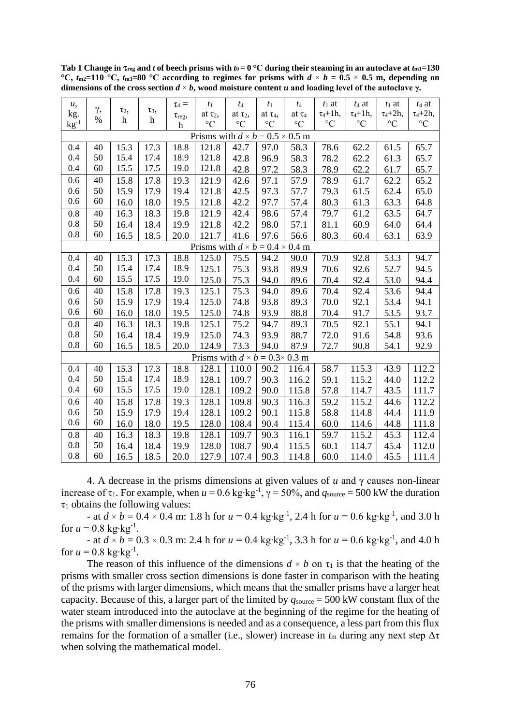| u,                                          |            |                              |                 | $\tau_4 =$            | $t_1$           | $t_4$           | $t_1$           | $t_4$           | $t_1$ at        | $t_4$ at        | $t_1$ at        | $t_4$ at        |
|---------------------------------------------|------------|------------------------------|-----------------|-----------------------|-----------------|-----------------|-----------------|-----------------|-----------------|-----------------|-----------------|-----------------|
| kg.                                         | γ,<br>$\%$ | $\tau_2$<br>$\boldsymbol{h}$ | $\tau_3$ ,<br>h | $\tau_{\text{reg}}$ , | at $\tau_2$ ,   | at $\tau_2$ ,   | at $\tau_4$ ,   | at $\tau_4$     | $\tau_4 + 1h$ , | $\tau_4 + 1h$ , | $\tau_4 + 2h$ , | $\tau_4 + 2h$ , |
| $kg^{-1}$                                   |            |                              |                 | $\boldsymbol{h}$      | $\rm ^{\circ}C$ | $\rm ^{\circ}C$ | $\rm ^{\circ}C$ | $\rm ^{\circ}C$ | $\rm ^{\circ}C$ | $\rm ^{\circ}C$ | $\rm ^{\circ}C$ | $\rm ^{\circ}C$ |
| Prisms with $d \times b = 0.5 \times 0.5$ m |            |                              |                 |                       |                 |                 |                 |                 |                 |                 |                 |                 |
| 0.4                                         | 40         | 15.3                         | 17.3            | 18.8                  | 121.8           | 42.7            | 97.0            | 58.3            | 78.6            | 62.2            | 61.5            | 65.7            |
| 0.4                                         | 50         | 15.4                         | 17.4            | 18.9                  | 121.8           | 42.8            | 96.9            | 58.3            | 78.2            | 62.2            | 61.3            | 65.7            |
| 0.4                                         | 60         | 15.5                         | 17.5            | 19.0                  | 121.8           | 42.8            | 97.2            | 58.3            | 78.9            | 62.2            | 61.7            | 65.7            |
| 0.6                                         | 40         | 15.8                         | 17.8            | 19.3                  | 121.9           | 42.6            | 97.1            | 57.9            | 78.9            | 61.7            | 62.2            | 65.2            |
| 0.6                                         | 50         | 15.9                         | 17.9            | 19.4                  | 121.8           | 42.5            | 97.3            | 57.7            | 79.3            | 61.5            | 62.4            | 65.0            |
| 0.6                                         | 60         | 16.0                         | 18.0            | 19.5                  | 121.8           | 42.2            | 97.7            | 57.4            | 80.3            | 61.3            | 63.3            | 64.8            |
| 0.8                                         | 40         | 16.3                         | 18.3            | 19.8                  | 121.9           | 42.4            | 98.6            | 57.4            | 79.7            | 61.2            | 63.5            | 64.7            |
| 0.8                                         | 50         | 16.4                         | 18.4            | 19.9                  | 121.8           | 42.2            | 98.0            | 57.1            | 81.1            | 60.9            | 64.0            | 64.4            |
| 0.8                                         | 60         | 16.5                         | 18.5            | 20.0                  | 121.7           | 41.6            | 97.6            | 56.6            | 80.3            | 60.4            | 63.1            | 63.9            |
| Prisms with $d \times b = 0.4 \times 0.4$ m |            |                              |                 |                       |                 |                 |                 |                 |                 |                 |                 |                 |
| 0.4                                         | 40         | 15.3                         | 17.3            | 18.8                  | 125.0           | 75.5            | 94.2            | 90.0            | 70.9            | 92.8            | 53.3            | 94.7            |
| 0.4                                         | 50         | 15.4                         | 17.4            | 18.9                  | 125.1           | 75.3            | 93.8            | 89.9            | 70.6            | 92.6            | 52.7            | 94.5            |
| 0.4                                         | 60         | 15.5                         | 17.5            | 19.0                  | 125.0           | 75.3            | 94.0            | 89.6            | 70.4            | 92.4            | 53.0            | 94.4            |
| 0.6                                         | 40         | 15.8                         | 17.8            | 19.3                  | 125.1           | 75.3            | 94.0            | 89.6            | 70.4            | 92.4            | 53.6            | 94.4            |
| 0.6                                         | 50         | 15.9                         | 17.9            | 19.4                  | 125.0           | 74.8            | 93.8            | 89.3            | 70.0            | 92.1            | 53.4            | 94.1            |
| 0.6                                         | 60         | 16.0                         | 18.0            | 19.5                  | 125.0           | 74.8            | 93.9            | 88.8            | 70.4            | 91.7            | 53.5            | 93.7            |
| 0.8                                         | 40         | 16.3                         | 18.3            | 19.8                  | 125.1           | 75.2            | 94.7            | 89.3            | 70.5            | 92.1            | 55.1            | 94.1            |
| 0.8                                         | 50         | 16.4                         | 18.4            | 19.9                  | 125.0           | 74.3            | 93.9            | 88.7            | 72.0            | 91.6            | 54.8            | 93.6            |
| 0.8                                         | 60         | 16.5                         | 18.5            | 20.0                  | 124.9           | 73.3            | 94.0            | 87.9            | 72.7            | 90.8            | 54.1            | 92.9            |
| Prisms with $d \times b = 0.3 \times 0.3$ m |            |                              |                 |                       |                 |                 |                 |                 |                 |                 |                 |                 |
| 0.4                                         | 40         | 15.3                         | 17.3            | 18.8                  | 128.1           | 110.0           | 90.2            | 116.4           | 58.7            | 115.3           | 43.9            | 112.2           |
| 0.4                                         | 50         | 15.4                         | 17.4            | 18.9                  | 128.1           | 109.7           | 90.3            | 116.2           | 59.1            | 115.2           | 44.0            | 112.2           |
| 0.4                                         | 60         | 15.5                         | 17.5            | 19.0                  | 128.1           | 109.2           | 90.0            | 115.8           | 57.8            | 114.7           | 43.5            | 111.7           |
| 0.6                                         | 40         | 15.8                         | 17.8            | 19.3                  | 128.1           | 109.8           | 90.3            | 116.3           | 59.2            | 115.2           | 44.6            | 112.2           |
| 0.6                                         | 50         | 15.9                         | 17.9            | 19.4                  | 128.1           | 109.2           | 90.1            | 115.8           | 58.8            | 114.8           | 44.4            | 111.9           |
| 0.6                                         | 60         | 16.0                         | 18.0            | 19.5                  | 128.0           | 108.4           | 90.4            | 115.4           | 60.0            | 114.6           | 44.8            | 111.8           |
| 0.8                                         | 40         | 16.3                         | 18.3            | 19.8                  | 128.1           | 109.7           | 90.3            | 116.1           | 59.7            | 115.2           | 45.3            | 112.4           |
| 0.8                                         | 50         | 16.4                         | 18.4            | 19.9                  | 128.0           | 108.7           | 90.4            | 115.5           | 60.1            | 114.7           | 45.4            | 112.0           |
| 0.8                                         | 60         | 16.5                         | 18.5            | 20.0                  | 127.9           | 107.4           | 90.3            | 114.8           | 60.0            | 114.0           | 45.5            | 111.4           |

Tab 1 Change in  $\tau_{reg}$  and *t* of beech prisms with  $t_0 = 0$  °C during their steaming in an autoclave at  $t_{m1} = 130$ <sup>o</sup>C,  $t_{m2}=110$  <sup>o</sup>C,  $t_{m3}=80$  <sup>o</sup>C according to regimes for prisms with  $d \times b = 0.5 \times 0.5$  m, depending on **dimensions of the cross section**  $d \times b$ **, wood moisture content** *u* **and loading level of the autoclave**  $\gamma$ **.** 

4. A decrease in the prisms dimensions at given values of *u* and γ causes non-linear increase of  $\tau_1$ . For example, when  $u = 0.6$  kg⋅kg<sup>-1</sup>,  $\gamma = 50\%$ , and  $q_{source} = 500$  kW the duration  $\tau_1$  obtains the following values:

- at *d* × *b* = 0.4 × 0.4 m: 1.8 h for *u* = 0.4 kg∙kg-1 , 2.4 h for *u* = 0.6 kg∙kg-1 , and 3.0 h for  $u = 0.8 \text{ kg·kg}^{-1}$ .

- at *d* × *b* = 0.3 × 0.3 m: 2.4 h for *u* = 0.4 kg∙kg-1 , 3.3 h for *u* = 0.6 kg∙kg-1 , and 4.0 h for  $u = 0.8 \text{ kg·kg}^{-1}$ .

The reason of this influence of the dimensions  $d \times b$  on  $\tau_1$  is that the heating of the prisms with smaller cross section dimensions is done faster in comparison with the heating of the prisms with larger dimensions, which means that the smaller prisms have a larger heat capacity. Because of this, a larger part of the limited by  $q_{source} = 500 \text{ kW}$  constant flux of the water steam introduced into the autoclave at the beginning of the regime for the heating of the prisms with smaller dimensions is needed and as a consequence, a less part from this flux remains for the formation of a smaller (i.e., slower) increase in  $t_m$  during any next step  $\Delta \tau$ when solving the mathematical model.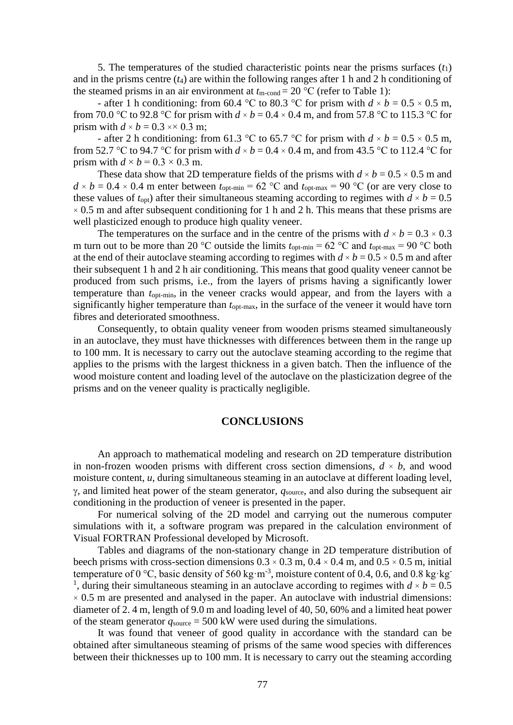5. The temperatures of the studied characteristic points near the prisms surfaces  $(t_1)$ and in the prisms centre  $(t_4)$  are within the following ranges after 1 h and 2 h conditioning of the steamed prisms in an air environment at  $t_{\text{m-cond}} = 20 \degree \text{C}$  (refer to Table 1):

- after 1 h conditioning: from 60.4 °C to 80.3 °C for prism with  $d \times b = 0.5 \times 0.5$  m, from 70.0 °C to 92.8 °C for prism with  $d \times b = 0.4 \times 0.4$  m, and from 57.8 °C to 115.3 °C for prism with  $d \times b = 0.3 \times 0.3$  m;

- after 2 h conditioning: from 61.3 °C to 65.7 °C for prism with  $d \times b = 0.5 \times 0.5$  m, from 52.7 °C to 94.7 °C for prism with  $d \times b = 0.4 \times 0.4$  m, and from 43.5 °C to 112.4 °C for prism with  $d \times b = 0.3 \times 0.3$  m.

These data show that 2D temperature fields of the prisms with  $d \times b = 0.5 \times 0.5$  m and  $d \times b = 0.4 \times 0.4$  m enter between  $t_{\text{opt-min}} = 62 \text{ °C}$  and  $t_{\text{opt-max}} = 90 \text{ °C}$  (or are very close to these values of  $t_{opt}$ ) after their simultaneous steaming according to regimes with  $d \times b = 0.5$  $\times$  0.5 m and after subsequent conditioning for 1 h and 2 h. This means that these prisms are well plasticized enough to produce high quality veneer.

The temperatures on the surface and in the centre of the prisms with  $d \times b = 0.3 \times 0.3$ m turn out to be more than 20 °C outside the limits  $t_{\text{opt-min}} = 62$  °C and  $t_{\text{opt-max}} = 90$  °C both at the end of their autoclave steaming according to regimes with  $d \times b = 0.5 \times 0.5$  m and after their subsequent 1 h and 2 h air conditioning. This means that good quality veneer cannot be produced from such prisms, i.e., from the layers of prisms having a significantly lower temperature than *t*opt-min, in the veneer cracks would appear, and from the layers with a significantly higher temperature than  $t_{\text{opt-max}}$ , in the surface of the veneer it would have torn fibres and deteriorated smoothness.

Consequently, to obtain quality veneer from wooden prisms steamed simultaneously in an autoclave, they must have thicknesses with differences between them in the range up to 100 mm. It is necessary to carry out the autoclave steaming according to the regime that applies to the prisms with the largest thickness in a given batch. Then the influence of the wood moisture content and loading level of the autoclave on the plasticization degree of the prisms and on the veneer quality is practically negligible.

## **CONCLUSIONS**

An approach to mathematical modeling and research on 2D temperature distribution in non-frozen wooden prisms with different cross section dimensions,  $d \times b$ , and wood moisture content, *u*, during simultaneous steaming in an autoclave at different loading level,  $\gamma$ , and limited heat power of the steam generator,  $q_{source}$ , and also during the subsequent air conditioning in the production of veneer is presented in the paper.

For numerical solving of the 2D model and carrying out the numerous computer simulations with it, a software program was prepared in the calculation environment of Visual FORTRAN Professional developed by Microsoft.

Tables and diagrams of the non-stationary change in 2D temperature distribution of beech prisms with cross-section dimensions  $0.3 \times 0.3$  m,  $0.4 \times 0.4$  m, and  $0.5 \times 0.5$  m, initial temperature of 0 °C, basic density of 560 kg·m<sup>-3</sup>, moisture content of 0.4, 0.6, and 0.8 kg·kg<sup>-1</sup> <sup>1</sup>, during their simultaneous steaming in an autoclave according to regimes with  $d \times b = 0.5$  $\times$  0.5 m are presented and analysed in the paper. An autoclave with industrial dimensions: diameter of 2. 4 m, length of 9.0 m and loading level of 40, 50, 60% and a limited heat power of the steam generator  $q_{\text{source}} = 500 \text{ kW}$  were used during the simulations.

It was found that veneer of good quality in accordance with the standard can be obtained after simultaneous steaming of prisms of the same wood species with differences between their thicknesses up to 100 mm. It is necessary to carry out the steaming according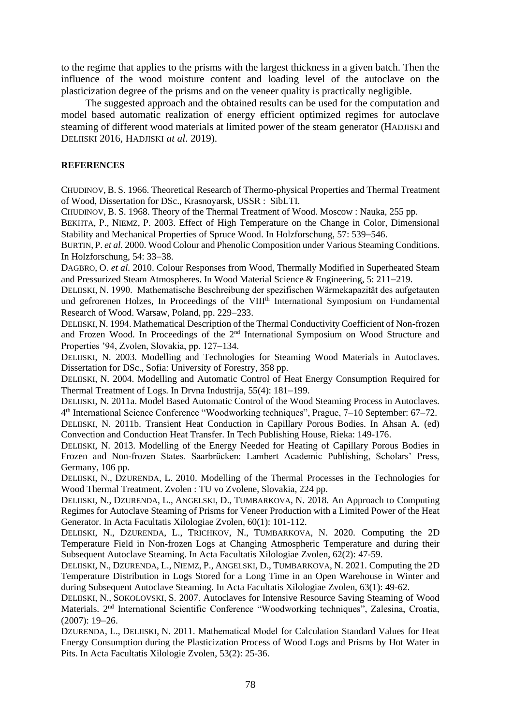to the regime that applies to the prisms with the largest thickness in a given batch. Then the influence of the wood moisture content and loading level of the autoclave on the plasticization degree of the prisms and on the veneer quality is practically negligible.

The suggested approach and the obtained results can be used for the computation and model based automatic realization of energy efficient optimized regimes for autoclave steaming of different wood materials at limited power of the steam generator (HADJISKI and DELIISKI 2016, HADJISKI *at al*. 2019).

#### **REFERENCES**

CHUDINOV, B. S. 1966. Theoretical Research of Thermo-physical Properties and Thermal Treatment of Wood, Dissertation for DSc., Krasnoyarsk, USSR : SibLTI.

CHUDINOV, B. S. 1968. Theory of the Thermal Treatment of Wood. Moscow : Nauka, 255 pp.

BEKHTA, P., NIEMZ, P. 2003. Effect of High Temperature on the Change in Color, Dimensional Stability and Mechanical Properties of Spruce Wood. In Holzforschung, 57: 539−546.

BURTIN, P. *et al.* 2000. Wood Colour and Phenolic Composition under Various Steaming Conditions. In Holzforschung, 54: 33−38.

DAGBRO, O. *et al.* 2010. Colour Responses from Wood, Thermally Modified in Superheated Steam and Pressurized Steam Atmospheres. In Wood Material Science & Engineering, 5: 211−219.

DELIISKI, N. 1990. Mathematische Beschreibung der spezifischen Wärmekapazität des aufgetauten und gefrorenen Holzes, In Proceedings of the VIII<sup>th</sup> International Symposium on Fundamental Research of Wood. Warsaw, Poland, pp. 229−233.

DELIISKI, N. 1994. Mathematical Description of the Thermal Conductivity Coefficient of Non-frozen and Frozen Wood. In Proceedings of the 2nd International Symposium on Wood Structure and Properties '94, Zvolen, Slovakia, pp. 127−134.

DELIISKI, N. 2003. Modelling and Technologies for Steaming Wood Materials in Autoclaves. Dissertation for DSc., Sofia: University of Forestry, 358 pp.

DELIISKI, N. 2004. Modelling and Automatic Control of Heat Energy Consumption Required for Thermal Treatment of Logs. In Drvna Industrija, 55(4): 181−199.

DELIISKI, N. 2011a. Model Based Automatic Control of the Wood Steaming Process in Autoclaves. 4 th International Science Conference "Woodworking techniques", Prague, 7−10 September: 67−72.

DELIISKI, N. 2011b. Transient Heat Conduction in Capillary Porous Bodies. In Ahsan A. (ed) Convection and Conduction Heat Transfer. In Tech Publishing House, Rieka: 149-176.

DELIISKI, N. 2013. Modelling of the Energy Needed for Heating of Capillary Porous Bodies in Frozen and Non-frozen States. Saarbrücken: Lambert Academic Publishing, Scholars' Press, Germany, 106 pp.

DELIISKI, N., DZURENDA, L. 2010. Modelling of the Thermal Processes in the Technologies for Wood Thermal Treatment. Zvolen : TU vo Zvolene, Slovakia, 224 pp.

DELIISKI, N., DZURENDA, L., ANGELSKI, D., TUMBARKOVA, N. 2018. An Approach to Computing Regimes for Autoclave Steaming of Prisms for Veneer Production with a Limited Power of the Heat Generator. In Acta Facultatis Xilologiae Zvolen, 60(1): 101-112.

DELIISKI, N., DZURENDA, L., TRICHKOV, N., TUMBARKOVA, N. 2020. Computing the 2D Temperature Field in Non-frozen Logs at Changing Atmospheric Temperature and during their Subsequent Autoclave Steaming. In Acta Facultatis Xilologiae Zvolen, 62(2): 47-59.

DELIISKI, N., DZURENDA, L., NIEMZ, P., ANGELSKI, D., TUMBARKOVA, N. 2021. Computing the 2D Temperature Distribution in Logs Stored for a Long Time in an Open Warehouse in Winter and during Subsequent Autoclave Steaming. In Acta Facultatis Xilologiae Zvolen, 63(1): 49-62.

DELIISKI, N., SOKOLOVSKI, S. 2007. Autoclaves for Intensive Resource Saving Steaming of Wood Materials. 2nd International Scientific Conference "Woodworking techniques", Zalesina, Croatia, (2007): 19−26.

DZURENDA, L., DELIISKI, N. 2011. Mathematical Мodel for Calculation Standard Values for Heat Energy Consumption during the Plasticization Process of Wood Logs and Prisms by Hot Water in Pits. In Acta Facultatis Xilologie Zvolen, 53(2): 25-36.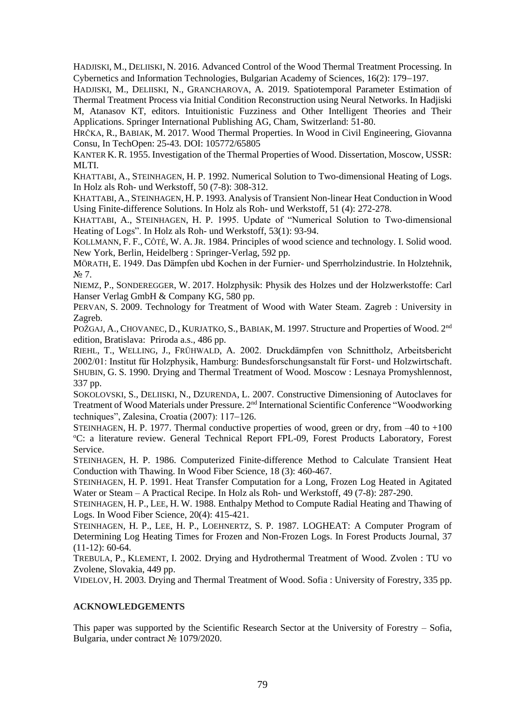HADJISKI, M., DELIISKI, N. 2016. Advanced Control of the Wood Thermal Treatment Processing. In Cybernetics and Information Technologies, Bulgarian Academy of Sciences, 16(2): 179−197.

HADJISKI, M., DELIISKI, N., GRANCHAROVA, A. 2019. Spatiotemporal Parameter Estimation of Thermal Treatment Process via Initial Condition Reconstruction using Neural Networks. In Hadjiski M, Atanasov KT, editors. Intuitionistic Fuzziness and Other Intelligent Theories and Their Applications. Springer International Publishing AG, Cham, Switzerland: 51-80.

HRČKA, R., BABIAK, M. 2017. Wood Thermal Properties. In Wood in Civil Engineering, Giovanna Consu, In TechOpen: 25-43. DOI: 105772/65805

KANTER K.R. 1955. Investigation of the Thermal Properties of Wood. Dissertation, Moscow, USSR: MLTI.

KHATTABI, A., STEINHAGEN, H. P. 1992. Numerical Solution to Two-dimensional Heating of Logs. In Holz als Roh- und Werkstoff, 50 (7-8): 308-312.

KHATTABI, A., STEINHAGEN, H. P. 1993. Analysis of Transient Non-linear Heat Conduction in Wood Using Finite-difference Solutions. In Holz als Roh- und Werkstoff, 51 (4): 272-278.

KHATTABI, A., STEINHAGEN, H. P. 1995. Update of "Numerical Solution to Two-dimensional Heating of Logs". In Holz als Roh- und Werkstoff, 53(1): 93-94.

KOLLMANN, F. F., CÔTÉ, W. A. JR. 1984. Principles of wood science and technology. I. Solid wood. New York, Berlin, Heidelberg : Springer-Verlag, 592 pp.

MÖRATH, E. 1949. Das Dämpfen ubd Kochen in der Furnier- und Sperrholzindustrie. In Holztehnik, N<sub>o</sub> 7.

NIEMZ, P., SONDEREGGER, W. 2017. Holzphysik: Physik des Holzes und der Holzwerkstoffe: Carl Hanser Verlag GmbH & Company KG, 580 pp.

PERVAN, S. 2009. Technology for Treatment of Wood with Water Steam. Zagreb : University in Zagreb.

POŽGAJ, A., CHOVANEC, D., KURJATKO, S., BABIAK, M. 1997. Structure and Properties of Wood. 2<sup>nd</sup> edition, Bratislava: Priroda a.s., 486 pp.

RIEHL, T., WELLING, J., FRÜHWALD, A. 2002. Druckdämpfen von Schnittholz, Arbeitsbericht 2002/01: Institut für Holzphysik, Hamburg: Bundesforschungsanstalt für Forst- und Holzwirtschaft. SHUBIN, G. S. 1990. Drying and Thermal Treatment of Wood. Moscow : Lesnaya Promyshlennost, 337 pp.

SOKOLOVSKI, S., DELIISKI, N., DZURENDA, L. 2007. Constructive Dimensioning of Autoclaves for Treatment of Wood Materials under Pressure. 2nd International Scientific Conference "Woodworking techniques", Zalesina, Croatia (2007): 117−126.

STEINHAGEN, H. P. 1977. Thermal conductive properties of wood, green or dry, from –40 to +100 <sup>o</sup>C: a literature review. General Technical Report FPL-09, Forest Products Laboratory, Forest Service.

STEINHAGEN, H. P. 1986. Computerized Finite-difference Method to Calculate Transient Heat Conduction with Thawing. In Wood Fiber Science, 18 (3): 460-467.

STEINHAGEN, H. P. 1991. Heat Transfer Computation for a Long, Frozen Log Heated in Agitated Water or Steam – A Practical Recipe. In Holz als Roh- und Werkstoff, 49 (7-8): 287-290.

STEINHAGEN, H. P., LEE, H. W. 1988. Enthalpy Method to Compute Radial Heating and Thawing of Logs. In Wood Fiber Science, 20(4): 415-421.

STEINHAGEN, H. P., LEE, H. P., LOEHNERTZ, S. P. 1987. LOGHEAT: A Computer Program of Determining Log Heating Times for Frozen and Non-Frozen Logs. In Forest Products Journal, 37 (11-12): 60-64.

TREBULA, P., KLEMENT, I. 2002. Drying and Hydrothermal Treatment of Wood. Zvolen : TU vo Zvolene, Slovakia, 449 pp.

VIDELOV, H. 2003. Drying and Thermal Treatment of Wood. Sofia : University of Forestry, 335 pp.

#### **ACKNOWLEDGEMENTS**

This paper was supported by the Scientific Research Sector at the University of Forestry – Sofia, Bulgaria, under contract № 1079/2020.